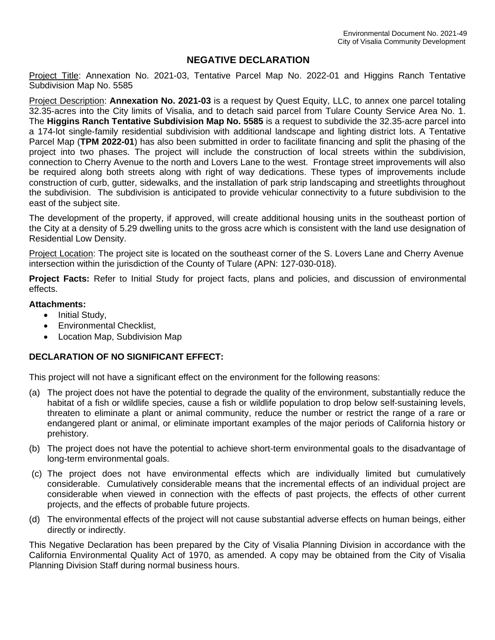# **NEGATIVE DECLARATION**

Project Title: Annexation No. 2021-03, Tentative Parcel Map No. 2022-01 and Higgins Ranch Tentative Subdivision Map No. 5585

Project Description: **Annexation No. 2021-03** is a request by Quest Equity, LLC, to annex one parcel totaling 32.35-acres into the City limits of Visalia, and to detach said parcel from Tulare County Service Area No. 1. The **Higgins Ranch Tentative Subdivision Map No. 5585** is a request to subdivide the 32.35-acre parcel into a 174-lot single-family residential subdivision with additional landscape and lighting district lots. A Tentative Parcel Map (**TPM 2022-01**) has also been submitted in order to facilitate financing and split the phasing of the project into two phases. The project will include the construction of local streets within the subdivision, connection to Cherry Avenue to the north and Lovers Lane to the west. Frontage street improvements will also be required along both streets along with right of way dedications. These types of improvements include construction of curb, gutter, sidewalks, and the installation of park strip landscaping and streetlights throughout the subdivision. The subdivision is anticipated to provide vehicular connectivity to a future subdivision to the east of the subject site.

The development of the property, if approved, will create additional housing units in the southeast portion of the City at a density of 5.29 dwelling units to the gross acre which is consistent with the land use designation of Residential Low Density.

Project Location: The project site is located on the southeast corner of the S. Lovers Lane and Cherry Avenue intersection within the jurisdiction of the County of Tulare (APN: 127-030-018).

**Project Facts:** Refer to Initial Study for project facts, plans and policies, and discussion of environmental effects.

# **Attachments:**

- Initial Study,
- Environmental Checklist,
- Location Map, Subdivision Map

# **DECLARATION OF NO SIGNIFICANT EFFECT:**

This project will not have a significant effect on the environment for the following reasons:

- (a) The project does not have the potential to degrade the quality of the environment, substantially reduce the habitat of a fish or wildlife species, cause a fish or wildlife population to drop below self-sustaining levels, threaten to eliminate a plant or animal community, reduce the number or restrict the range of a rare or endangered plant or animal, or eliminate important examples of the major periods of California history or prehistory.
- (b) The project does not have the potential to achieve short-term environmental goals to the disadvantage of long-term environmental goals.
- (c) The project does not have environmental effects which are individually limited but cumulatively considerable. Cumulatively considerable means that the incremental effects of an individual project are considerable when viewed in connection with the effects of past projects, the effects of other current projects, and the effects of probable future projects.
- (d) The environmental effects of the project will not cause substantial adverse effects on human beings, either directly or indirectly.

This Negative Declaration has been prepared by the City of Visalia Planning Division in accordance with the California Environmental Quality Act of 1970, as amended. A copy may be obtained from the City of Visalia Planning Division Staff during normal business hours.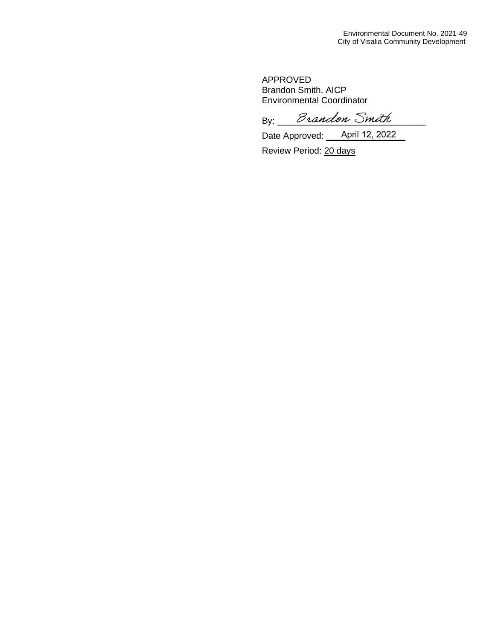APPROVED Brandon Smith, AICP Environmental Coordinator

By: *Brandon Smith* 

Date Approved: <u>Queen April 12, 2022</u>

Review Period: 20 days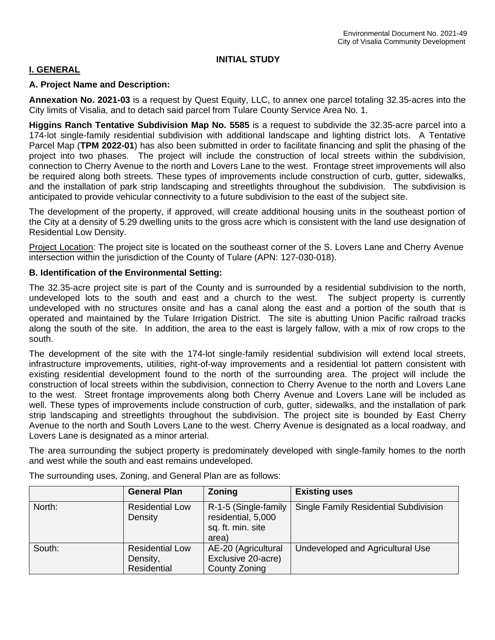# **INITIAL STUDY**

# **I. GENERAL**

# **A. Project Name and Description:**

**Annexation No. 2021-03** is a request by Quest Equity, LLC, to annex one parcel totaling 32.35-acres into the City limits of Visalia, and to detach said parcel from Tulare County Service Area No. 1.

**Higgins Ranch Tentative Subdivision Map No. 5585** is a request to subdivide the 32.35-acre parcel into a 174-lot single-family residential subdivision with additional landscape and lighting district lots. A Tentative Parcel Map (**TPM 2022-01**) has also been submitted in order to facilitate financing and split the phasing of the project into two phases. The project will include the construction of local streets within the subdivision, connection to Cherry Avenue to the north and Lovers Lane to the west. Frontage street improvements will also be required along both streets. These types of improvements include construction of curb, gutter, sidewalks, and the installation of park strip landscaping and streetlights throughout the subdivision. The subdivision is anticipated to provide vehicular connectivity to a future subdivision to the east of the subject site.

The development of the property, if approved, will create additional housing units in the southeast portion of the City at a density of 5.29 dwelling units to the gross acre which is consistent with the land use designation of Residential Low Density.

Project Location: The project site is located on the southeast corner of the S. Lovers Lane and Cherry Avenue intersection within the jurisdiction of the County of Tulare (APN: 127-030-018).

# **B. Identification of the Environmental Setting:**

The 32.35-acre project site is part of the County and is surrounded by a residential subdivision to the north, undeveloped lots to the south and east and a church to the west. The subject property is currently undeveloped with no structures onsite and has a canal along the east and a portion of the south that is operated and maintained by the Tulare Irrigation District. The site is abutting Union Pacific railroad tracks along the south of the site. In addition, the area to the east is largely fallow, with a mix of row crops to the south.

The development of the site with the 174-lot single-family residential subdivision will extend local streets, infrastructure improvements, utilities, right-of-way improvements and a residential lot pattern consistent with existing residential development found to the north of the surrounding area. The project will include the construction of local streets within the subdivision, connection to Cherry Avenue to the north and Lovers Lane to the west. Street frontage improvements along both Cherry Avenue and Lovers Lane will be included as well. These types of improvements include construction of curb, gutter, sidewalks, and the installation of park strip landscaping and streetlights throughout the subdivision. The project site is bounded by East Cherry Avenue to the north and South Lovers Lane to the west. Cherry Avenue is designated as a local roadway, and Lovers Lane is designated as a minor arterial.

The area surrounding the subject property is predominately developed with single-family homes to the north and west while the south and east remains undeveloped.

|        | <b>General Plan</b>                               | <b>Zoning</b>                                                            | <b>Existing uses</b>                  |
|--------|---------------------------------------------------|--------------------------------------------------------------------------|---------------------------------------|
| North: | <b>Residential Low</b><br>Density                 | R-1-5 (Single-family<br>residential, 5,000<br>sq. ft. min. site<br>area) | Single Family Residential Subdivision |
| South: | <b>Residential Low</b><br>Density,<br>Residential | AE-20 (Agricultural<br>Exclusive 20-acre)<br>County Zoning               | Undeveloped and Agricultural Use      |

The surrounding uses, Zoning, and General Plan are as follows: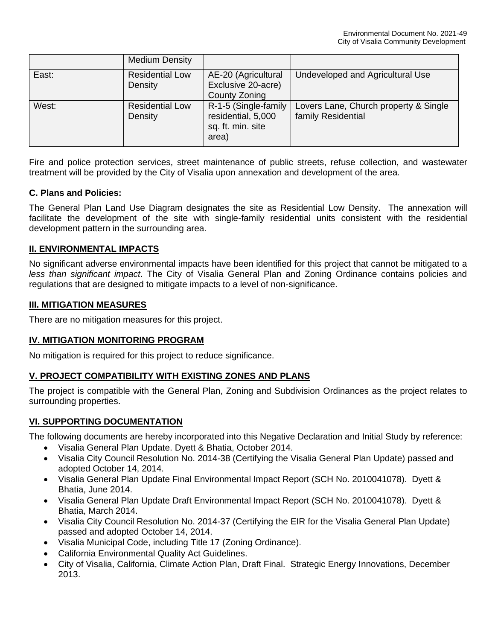|       | <b>Medium Density</b>             |                                                                          |                                                             |
|-------|-----------------------------------|--------------------------------------------------------------------------|-------------------------------------------------------------|
| East: | <b>Residential Low</b><br>Density | AE-20 (Agricultural<br>Exclusive 20-acre)<br>County Zoning               | Undeveloped and Agricultural Use                            |
| West: | <b>Residential Low</b><br>Density | R-1-5 (Single-family<br>residential, 5,000<br>sq. ft. min. site<br>area) | Lovers Lane, Church property & Single<br>family Residential |

Fire and police protection services, street maintenance of public streets, refuse collection, and wastewater treatment will be provided by the City of Visalia upon annexation and development of the area.

# **C. Plans and Policies:**

The General Plan Land Use Diagram designates the site as Residential Low Density. The annexation will facilitate the development of the site with single-family residential units consistent with the residential development pattern in the surrounding area.

# **II. ENVIRONMENTAL IMPACTS**

No significant adverse environmental impacts have been identified for this project that cannot be mitigated to a *less than significant impact*. The City of Visalia General Plan and Zoning Ordinance contains policies and regulations that are designed to mitigate impacts to a level of non-significance.

# **III. MITIGATION MEASURES**

There are no mitigation measures for this project.

# **IV. MITIGATION MONITORING PROGRAM**

No mitigation is required for this project to reduce significance.

# **V. PROJECT COMPATIBILITY WITH EXISTING ZONES AND PLANS**

The project is compatible with the General Plan, Zoning and Subdivision Ordinances as the project relates to surrounding properties.

# **VI. SUPPORTING DOCUMENTATION**

The following documents are hereby incorporated into this Negative Declaration and Initial Study by reference:

- Visalia General Plan Update. Dyett & Bhatia, October 2014.
- Visalia City Council Resolution No. 2014-38 (Certifying the Visalia General Plan Update) passed and adopted October 14, 2014.
- Visalia General Plan Update Final Environmental Impact Report (SCH No. 2010041078). Dyett & Bhatia, June 2014.
- Visalia General Plan Update Draft Environmental Impact Report (SCH No. 2010041078). Dyett & Bhatia, March 2014.
- Visalia City Council Resolution No. 2014-37 (Certifying the EIR for the Visalia General Plan Update) passed and adopted October 14, 2014.
- Visalia Municipal Code, including Title 17 (Zoning Ordinance).
- California Environmental Quality Act Guidelines.
- City of Visalia, California, Climate Action Plan, Draft Final. Strategic Energy Innovations, December 2013.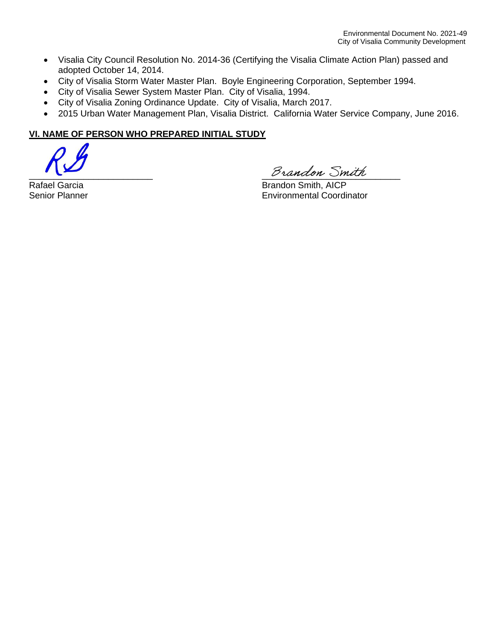- Visalia City Council Resolution No. 2014-36 (Certifying the Visalia Climate Action Plan) passed and adopted October 14, 2014.
- City of Visalia Storm Water Master Plan. Boyle Engineering Corporation, September 1994.
- City of Visalia Sewer System Master Plan. City of Visalia, 1994.
- City of Visalia Zoning Ordinance Update. City of Visalia, March 2017.
- 2015 Urban Water Management Plan, Visalia District. California Water Service Company, June 2016.

# **VI. NAME OF PERSON WHO PREPARED INITIAL STUDY**

Brandon Smith

Rafael Garcia **Brandon Smith, AICP** Senior Planner Environmental Coordinator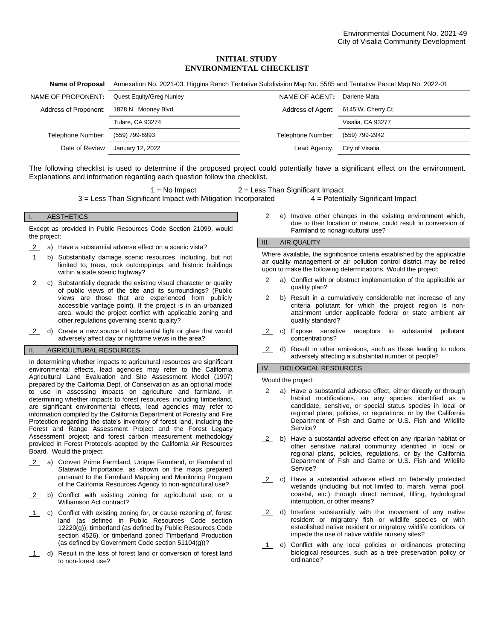## **INITIAL STUDY ENVIRONMENTAL CHECKLIST**

| Annexation No. 2021-03, Higgins Ranch Tentative Subdivision Map No. 5585 and Tentative Parcel Map No. 2022-01 |                   |                    |  |
|---------------------------------------------------------------------------------------------------------------|-------------------|--------------------|--|
| Quest Equity/Greg Nunley                                                                                      | NAME OF AGENT:    | Darlene Mata       |  |
| 1878 N. Mooney Blvd.                                                                                          | Address of Agent: | 6145 W. Cherry Ct. |  |
| <b>Tulare, CA 93274</b>                                                                                       |                   | Visalia, CA 93277  |  |
| (559) 799-6993                                                                                                | Telephone Number: | (559) 799-2942     |  |
| January 12, 2022                                                                                              | Lead Agency:      | City of Visalia    |  |
|                                                                                                               |                   |                    |  |

The following checklist is used to determine if the proposed project could potentially have a significant effect on the environment. Explanations and information regarding each question follow the checklist.

 $1 = No$  Impact  $2 = Less$  Than Significant Impact

3 = Less Than Significant Impact with Mitigation Incorporated 4 = Potentially Significant Impact

### **AESTHETICS**

Except as provided in Public Resources Code Section 21099, would the project:

- 2 a) Have a substantial adverse effect on a scenic vista?
- 1 b) Substantially damage scenic resources, including, but not limited to, trees, rock outcroppings, and historic buildings within a state scenic highway?
- 2 c) Substantially degrade the existing visual character or quality of public views of the site and its surroundings? (Public views are those that are experienced from publicly accessible vantage point). If the project is in an urbanized area, would the project conflict with applicable zoning and other regulations governing scenic quality?
- 2 d) Create a new source of substantial light or glare that would adversely affect day or nighttime views in the area?

### II. AGRICULTURAL RESOURCES

In determining whether impacts to agricultural resources are significant environmental effects, lead agencies may refer to the California Agricultural Land Evaluation and Site Assessment Model (1997) prepared by the California Dept. of Conservation as an optional model to use in assessing impacts on agriculture and farmland. In determining whether impacts to forest resources, including timberland, are significant environmental effects, lead agencies may refer to information compiled by the California Department of Forestry and Fire Protection regarding the state's inventory of forest land, including the Forest and Range Assessment Project and the Forest Legacy Assessment project; and forest carbon measurement methodology provided in Forest Protocols adopted by the California Air Resources Board. Would the project:

- 2 a) Convert Prime Farmland, Unique Farmland, or Farmland of Statewide Importance, as shown on the maps prepared pursuant to the Farmland Mapping and Monitoring Program of the California Resources Agency to non-agricultural use?
- 2 b) Conflict with existing zoning for agricultural use, or a Williamson Act contract?
- 1 c) Conflict with existing zoning for, or cause rezoning of, forest land (as defined in Public Resources Code section 12220(g)), timberland (as defined by Public Resources Code section 4526), or timberland zoned Timberland Production (as defined by Government Code section 51104(g))?
- 1 d) Result in the loss of forest land or conversion of forest land to non-forest use?

2 e) Involve other changes in the existing environment which, due to their location or nature, could result in conversion of Farmland to nonagricultural use?

#### III. AIR QUALITY

Where available, the significance criteria established by the applicable air quality management or air pollution control district may be relied upon to make the following determinations. Would the project:

- 2 a) Conflict with or obstruct implementation of the applicable air quality plan?
- 2 b) Result in a cumulatively considerable net increase of any criteria pollutant for which the project region is nonattainment under applicable federal or state ambient air quality standard?
- 2 c) Expose sensitive receptors to substantial pollutant concentrations?
- 2 d) Result in other emissions, such as those leading to odors adversely affecting a substantial number of people?

### IV. BIOLOGICAL RESOURCES

Would the project:

- 2 a) Have a substantial adverse effect, either directly or through habitat modifications, on any species identified as a candidate, sensitive, or special status species in local or regional plans, policies, or regulations, or by the California Department of Fish and Game or U.S. Fish and Wildlife Service?
- 2 b) Have a substantial adverse effect on any riparian habitat or other sensitive natural community identified in local or regional plans, policies, regulations, or by the California Department of Fish and Game or U.S. Fish and Wildlife Service?
- 2 c) Have a substantial adverse effect on federally protected wetlands (including but not limited to, marsh, vernal pool, coastal, etc.) through direct removal, filling, hydrological interruption, or other means?
- 2 d) Interfere substantially with the movement of any native resident or migratory fish or wildlife species or with established native resident or migratory wildlife corridors, or impede the use of native wildlife nursery sites?
- 1 e) Conflict with any local policies or ordinances protecting biological resources, such as a tree preservation policy or ordinance?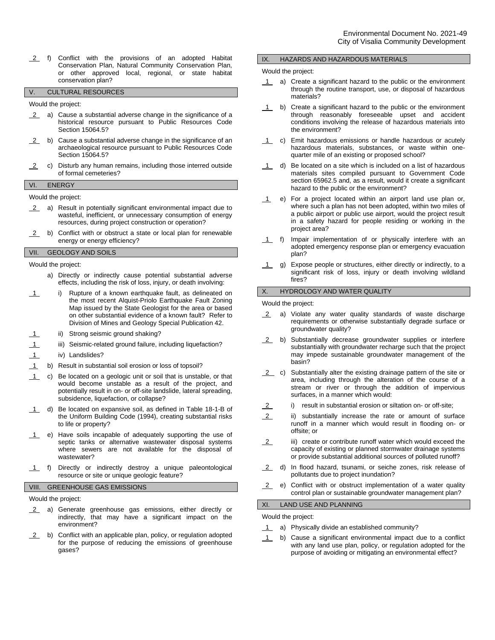2 f) Conflict with the provisions of an adopted Habitat Conservation Plan, Natural Community Conservation Plan, or other approved local, regional, or state habitat conservation plan?

## V. CULTURAL RESOURCES

Would the project:

- 2 a) Cause a substantial adverse change in the significance of a historical resource pursuant to Public Resources Code Section 15064.5?
- 2 b) Cause a substantial adverse change in the significance of an archaeological resource pursuant to Public Resources Code Section 15064.5?
- 2 c) Disturb any human remains, including those interred outside of formal cemeteries?

#### VI. ENERGY

Would the project:

- 2 a) Result in potentially significant environmental impact due to wasteful, inefficient, or unnecessary consumption of energy resources, during project construction or operation?
- 2 b) Conflict with or obstruct a state or local plan for renewable energy or energy efficiency?

### VII. GEOLOGY AND SOILS

Would the project:

- a) Directly or indirectly cause potential substantial adverse effects, including the risk of loss, injury, or death involving:
- 1 i) Rupture of a known earthquake fault, as delineated on the most recent Alquist-Priolo Earthquake Fault Zoning Map issued by the State Geologist for the area or based on other substantial evidence of a known fault? Refer to Division of Mines and Geology Special Publication 42.
- 1 ii) Strong seismic ground shaking?
- 1 iii) Seismic-related ground failure, including liquefaction?
- 1 iv) Landslides?
- 1 b) Result in substantial soil erosion or loss of topsoil?
- 1 c) Be located on a geologic unit or soil that is unstable, or that would become unstable as a result of the project, and potentially result in on- or off-site landslide, lateral spreading, subsidence, liquefaction, or collapse?
- 1 d) Be located on expansive soil, as defined in Table 18-1-B of the Uniform Building Code (1994), creating substantial risks to life or property?
- 1 e) Have soils incapable of adequately supporting the use of septic tanks or alternative wastewater disposal systems where sewers are not available for the disposal of wastewater?
- 1 f) Directly or indirectly destroy a unique paleontological resource or site or unique geologic feature?

### VIII. GREENHOUSE GAS EMISSIONS

Would the project:

- 2 a) Generate greenhouse gas emissions, either directly or indirectly, that may have a significant impact on the environment?
- $2$  b) Conflict with an applicable plan, policy, or regulation adopted for the purpose of reducing the emissions of greenhouse gases?

#### IX. HAZARDS AND HAZARDOUS MATERIALS

#### Would the project:

- 1 a) Create a significant hazard to the public or the environment through the routine transport, use, or disposal of hazardous materials?
- 1 b) Create a significant hazard to the public or the environment through reasonably foreseeable upset and accident conditions involving the release of hazardous materials into the environment?
- 1 c) Emit hazardous emissions or handle hazardous or acutely hazardous materials, substances, or waste within onequarter mile of an existing or proposed school?
- 1 d) Be located on a site which is included on a list of hazardous materials sites compiled pursuant to Government Code section 65962.5 and, as a result, would it create a significant hazard to the public or the environment?
- 1 e) For a project located within an airport land use plan or, where such a plan has not been adopted, within two miles of a public airport or public use airport, would the project result in a safety hazard for people residing or working in the project area?
- 1 f) Impair implementation of or physically interfere with an adopted emergency response plan or emergency evacuation plan?
- 1 g) Expose people or structures, either directly or indirectly, to a significant risk of loss, injury or death involving wildland fires?

### X. HYDROLOGY AND WATER QUALITY

Would the project:

- 2 a) Violate any water quality standards of waste discharge requirements or otherwise substantially degrade surface or groundwater quality?
- 2 b) Substantially decrease groundwater supplies or interfere substantially with groundwater recharge such that the project may impede sustainable groundwater management of the basin?
- 2 c) Substantially alter the existing drainage pattern of the site or area, including through the alteration of the course of a stream or river or through the addition of impervious surfaces, in a manner which would:
- 2 i) result in substantial erosion or siltation on- or off-site;
- 2 ii) substantially increase the rate or amount of surface runoff in a manner which would result in flooding on- or offsite; or
- 2 iii) create or contribute runoff water which would exceed the capacity of existing or planned stormwater drainage systems or provide substantial additional sources of polluted runoff?
- 2 d) In flood hazard, tsunami, or seiche zones, risk release of pollutants due to project inundation?
- 2 e) Conflict with or obstruct implementation of a water quality control plan or sustainable groundwater management plan?

### XI. LAND USE AND PLANNING

Would the project:

- 1 a) Physically divide an established community?
- 1 b) Cause a significant environmental impact due to a conflict with any land use plan, policy, or regulation adopted for the purpose of avoiding or mitigating an environmental effect?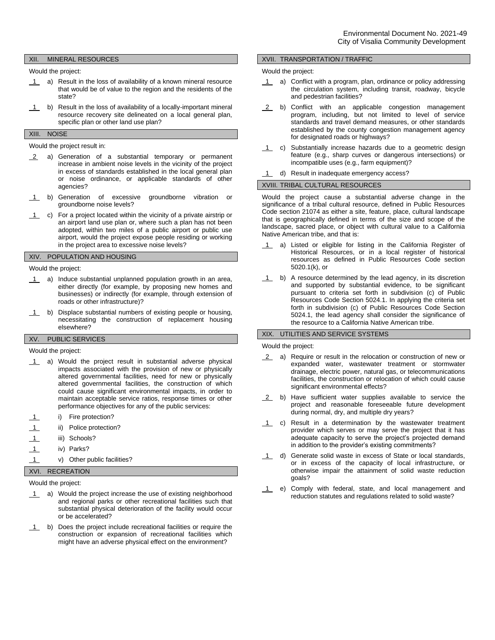### XII. MINERAL RESOURCES

Would the project:

- 1 a) Result in the loss of availability of a known mineral resource that would be of value to the region and the residents of the state?
- 1 b) Result in the loss of availability of a locally-important mineral resource recovery site delineated on a local general plan, specific plan or other land use plan?

### XIII. NOISE

#### Would the project result in:

- 2 a) Generation of a substantial temporary or permanent increase in ambient noise levels in the vicinity of the project in excess of standards established in the local general plan or noise ordinance, or applicable standards of other agencies?
- 1 b) Generation of excessive groundborne vibration or groundborne noise levels?
- 1 c) For a project located within the vicinity of a private airstrip or an airport land use plan or, where such a plan has not been adopted, within two miles of a public airport or public use airport, would the project expose people residing or working in the project area to excessive noise levels?

# XIV. POPULATION AND HOUSING

Would the project:

- 1 a) Induce substantial unplanned population growth in an area, either directly (for example, by proposing new homes and businesses) or indirectly (for example, through extension of roads or other infrastructure)?
- 1 b) Displace substantial numbers of existing people or housing, necessitating the construction of replacement housing elsewhere?

## XV. PUBLIC SERVICES

Would the project:

- 1 a) Would the project result in substantial adverse physical impacts associated with the provision of new or physically altered governmental facilities, need for new or physically altered governmental facilities, the construction of which could cause significant environmental impacts, in order to maintain acceptable service ratios, response times or other performance objectives for any of the public services:
- i) Fire protection?
- ii) Police protection?
- 1 iii) Schools?
- 1 iv) Parks?
- 1 v) Other public facilities?

### XVI. RECREATION

Would the project:

- 1 a) Would the project increase the use of existing neighborhood and regional parks or other recreational facilities such that substantial physical deterioration of the facility would occur or be accelerated?
- 1 b) Does the project include recreational facilities or require the construction or expansion of recreational facilities which might have an adverse physical effect on the environment?

### XVII. TRANSPORTATION / TRAFFIC

#### Would the project:

- 1 a) Conflict with a program, plan, ordinance or policy addressing the circulation system, including transit, roadway, bicycle and pedestrian facilities?
- 2 b) Conflict with an applicable congestion management program, including, but not limited to level of service standards and travel demand measures, or other standards established by the county congestion management agency for designated roads or highways?
- 1 c) Substantially increase hazards due to a geometric design feature (e.g., sharp curves or dangerous intersections) or incompatible uses (e.g., farm equipment)?
- 1 d) Result in inadequate emergency access?

### XVIII. TRIBAL CULTURAL RESOURCES

Would the project cause a substantial adverse change in the significance of a tribal cultural resource, defined in Public Resources Code section 21074 as either a site, feature, place, cultural landscape that is geographically defined in terms of the size and scope of the landscape, sacred place, or object with cultural value to a California Native American tribe, and that is:

- 1 a) Listed or eligible for listing in the California Register of Historical Resources, or in a local register of historical resources as defined in Public Resources Code section 5020.1(k), or
- 1 b) A resource determined by the lead agency, in its discretion and supported by substantial evidence, to be significant pursuant to criteria set forth in subdivision (c) of Public Resources Code Section 5024.1. In applying the criteria set forth in subdivision (c) of Public Resources Code Section 5024.1, the lead agency shall consider the significance of the resource to a California Native American tribe.

### XIX. UTILITIES AND SERVICE SYSTEMS

Would the project:

- 2 a) Require or result in the relocation or construction of new or expanded water, wastewater treatment or stormwater drainage, electric power, natural gas, or telecommunications facilities, the construction or relocation of which could cause significant environmental effects?
- 2 b) Have sufficient water supplies available to service the project and reasonable foreseeable future development during normal, dry, and multiple dry years?
- 1 c) Result in a determination by the wastewater treatment provider which serves or may serve the project that it has adequate capacity to serve the project's projected demand in addition to the provider's existing commitments?
- 1 d) Generate solid waste in excess of State or local standards, or in excess of the capacity of local infrastructure, or otherwise impair the attainment of solid waste reduction goals?
- 1 e) Comply with federal, state, and local management and reduction statutes and regulations related to solid waste?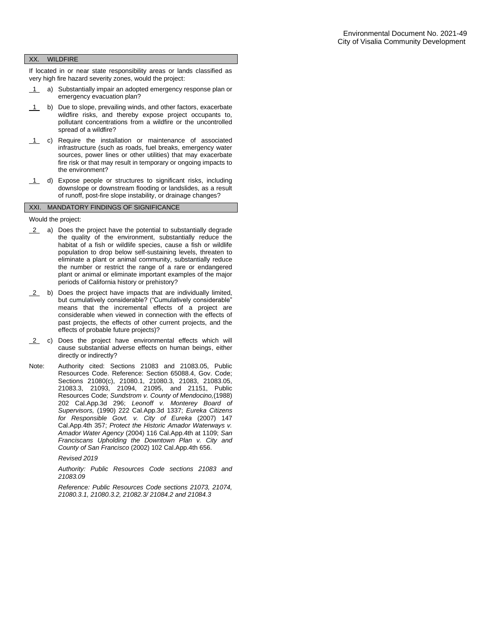#### XX. WILDFIRE

If located in or near state responsibility areas or lands classified as very high fire hazard severity zones, would the project:

- 1 a) Substantially impair an adopted emergency response plan or emergency evacuation plan?
- 1 b) Due to slope, prevailing winds, and other factors, exacerbate wildfire risks, and thereby expose project occupants to, pollutant concentrations from a wildfire or the uncontrolled spread of a wildfire?
- 1 c) Require the installation or maintenance of associated infrastructure (such as roads, fuel breaks, emergency water sources, power lines or other utilities) that may exacerbate fire risk or that may result in temporary or ongoing impacts to the environment?
- 1 d) Expose people or structures to significant risks, including downslope or downstream flooding or landslides, as a result of runoff, post-fire slope instability, or drainage changes?

### XXI. MANDATORY FINDINGS OF SIGNIFICANCE

Would the project:

- 2 a) Does the project have the potential to substantially degrade the quality of the environment, substantially reduce the habitat of a fish or wildlife species, cause a fish or wildlife population to drop below self-sustaining levels, threaten to eliminate a plant or animal community, substantially reduce the number or restrict the range of a rare or endangered plant or animal or eliminate important examples of the major periods of California history or prehistory?
- 2 b) Does the project have impacts that are individually limited, but cumulatively considerable? ("Cumulatively considerable" means that the incremental effects of a project are considerable when viewed in connection with the effects of past projects, the effects of other current projects, and the effects of probable future projects)?
- 2 c) Does the project have environmental effects which will cause substantial adverse effects on human beings, either directly or indirectly?
- Note: Authority cited: Sections 21083 and 21083.05, Public Resources Code. Reference: Section 65088.4, Gov. Code; Sections 21080(c), 21080.1, 21080.3, 21083, 21083.05, 21083.3, 21093, 21094, 21095, and 21151, Public Resources Code; *Sundstrom v. County of Mendocino,*(1988) 202 Cal.App.3d 296; *Leonoff v. Monterey Board of Supervisors,* (1990) 222 Cal.App.3d 1337; *Eureka Citizens for Responsible Govt. v. City of Eureka* (2007) 147 Cal.App.4th 357; *Protect the Historic Amador Waterways v. Amador Water Agency* (2004) 116 Cal.App.4th at 1109; *San Franciscans Upholding the Downtown Plan v. City and County of San Francisco* (2002) 102 Cal.App.4th 656.

*Revised 2019*

*Authority: Public Resources Code sections 21083 and 21083.09*

*Reference: Public Resources Code sections 21073, 21074, 21080.3.1, 21080.3.2, 21082.3/ 21084.2 and 21084.3*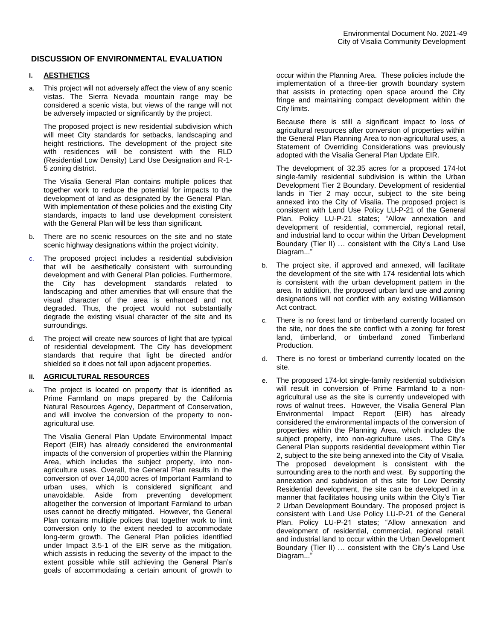## **DISCUSSION OF ENVIRONMENTAL EVALUATION**

## **I. AESTHETICS**

a. This project will not adversely affect the view of any scenic vistas. The Sierra Nevada mountain range may be considered a scenic vista, but views of the range will not be adversely impacted or significantly by the project.

The proposed project is new residential subdivision which will meet City standards for setbacks, landscaping and height restrictions. The development of the project site with residences will be consistent with the RLD (Residential Low Density) Land Use Designation and R-1- 5 zoning district.

The Visalia General Plan contains multiple polices that together work to reduce the potential for impacts to the development of land as designated by the General Plan. With implementation of these policies and the existing City standards, impacts to land use development consistent with the General Plan will be less than significant.

- b. There are no scenic resources on the site and no state scenic highway designations within the project vicinity.
- c. The proposed project includes a residential subdivision that will be aesthetically consistent with surrounding development and with General Plan policies. Furthermore, the City has development standards related to landscaping and other amenities that will ensure that the visual character of the area is enhanced and not degraded. Thus, the project would not substantially degrade the existing visual character of the site and its surroundings.
- d. The project will create new sources of light that are typical of residential development. The City has development standards that require that light be directed and/or shielded so it does not fall upon adjacent properties.

## **II. AGRICULTURAL RESOURCES**

a. The project is located on property that is identified as Prime Farmland on maps prepared by the California Natural Resources Agency, Department of Conservation, and will involve the conversion of the property to nonagricultural use.

The Visalia General Plan Update Environmental Impact Report (EIR) has already considered the environmental impacts of the conversion of properties within the Planning Area, which includes the subject property, into nonagriculture uses. Overall, the General Plan results in the conversion of over 14,000 acres of Important Farmland to urban uses, which is considered significant and unavoidable. Aside from preventing development altogether the conversion of Important Farmland to urban uses cannot be directly mitigated. However, the General Plan contains multiple polices that together work to limit conversion only to the extent needed to accommodate long-term growth. The General Plan policies identified under Impact 3.5-1 of the EIR serve as the mitigation, which assists in reducing the severity of the impact to the extent possible while still achieving the General Plan's goals of accommodating a certain amount of growth to

occur within the Planning Area. These policies include the implementation of a three-tier growth boundary system that assists in protecting open space around the City fringe and maintaining compact development within the City limits.

Because there is still a significant impact to loss of agricultural resources after conversion of properties within the General Plan Planning Area to non-agricultural uses, a Statement of Overriding Considerations was previously adopted with the Visalia General Plan Update EIR.

The development of 32.35 acres for a proposed 174-lot single-family residential subdivision is within the Urban Development Tier 2 Boundary. Development of residential lands in Tier 2 may occur, subject to the site being annexed into the City of Visalia. The proposed project is consistent with Land Use Policy LU-P-21 of the General Plan. Policy LU-P-21 states; "Allow annexation and development of residential, commercial, regional retail, and industrial land to occur within the Urban Development Boundary (Tier II) … consistent with the City's Land Use Diagram..."

- b. The project site, if approved and annexed, will facilitate the development of the site with 174 residential lots which is consistent with the urban development pattern in the area. In addition, the proposed urban land use and zoning designations will not conflict with any existing Williamson Act contract.
- c. There is no forest land or timberland currently located on the site, nor does the site conflict with a zoning for forest land, timberland, or timberland zoned Timberland Production.
- d. There is no forest or timberland currently located on the site.
- e. The proposed 174-lot single-family residential subdivision will result in conversion of Prime Farmland to a nonagricultural use as the site is currently undeveloped with rows of walnut trees. However, the Visalia General Plan Environmental Impact Report (EIR) has already considered the environmental impacts of the conversion of properties within the Planning Area, which includes the subject property, into non-agriculture uses. The City's General Plan supports residential development within Tier 2, subject to the site being annexed into the City of Visalia. The proposed development is consistent with the surrounding area to the north and west. By supporting the annexation and subdivision of this site for Low Density Residential development, the site can be developed in a manner that facilitates housing units within the City's Tier 2 Urban Development Boundary. The proposed project is consistent with Land Use Policy LU-P-21 of the General Plan. Policy LU-P-21 states; "Allow annexation and development of residential, commercial, regional retail, and industrial land to occur within the Urban Development Boundary (Tier II) … consistent with the City's Land Use Diagram..."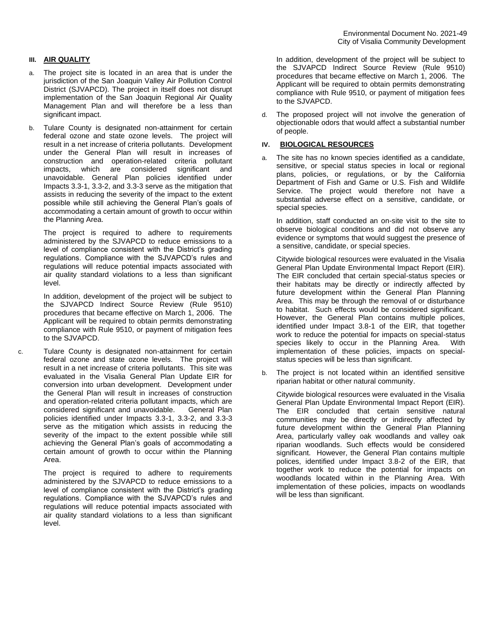# **III. AIR QUALITY**

- a. The project site is located in an area that is under the jurisdiction of the San Joaquin Valley Air Pollution Control District (SJVAPCD). The project in itself does not disrupt implementation of the San Joaquin Regional Air Quality Management Plan and will therefore be a less than significant impact.
- b. Tulare County is designated non-attainment for certain federal ozone and state ozone levels. The project will result in a net increase of criteria pollutants. Development under the General Plan will result in increases of construction and operation-related criteria pollutant impacts, which are considered significant and unavoidable. General Plan policies identified under Impacts 3.3-1, 3.3-2, and 3.3-3 serve as the mitigation that assists in reducing the severity of the impact to the extent possible while still achieving the General Plan's goals of accommodating a certain amount of growth to occur within the Planning Area.

The project is required to adhere to requirements administered by the SJVAPCD to reduce emissions to a level of compliance consistent with the District's grading regulations. Compliance with the SJVAPCD's rules and regulations will reduce potential impacts associated with air quality standard violations to a less than significant level.

In addition, development of the project will be subject to the SJVAPCD Indirect Source Review (Rule 9510) procedures that became effective on March 1, 2006. The Applicant will be required to obtain permits demonstrating compliance with Rule 9510, or payment of mitigation fees to the SJVAPCD.

c. Tulare County is designated non-attainment for certain federal ozone and state ozone levels. The project will result in a net increase of criteria pollutants. This site was evaluated in the Visalia General Plan Update EIR for conversion into urban development. Development under the General Plan will result in increases of construction and operation-related criteria pollutant impacts, which are considered significant and unavoidable. General Plan policies identified under Impacts 3.3-1, 3.3-2, and 3.3-3 serve as the mitigation which assists in reducing the severity of the impact to the extent possible while still achieving the General Plan's goals of accommodating a certain amount of growth to occur within the Planning Area.

> The project is required to adhere to requirements administered by the SJVAPCD to reduce emissions to a level of compliance consistent with the District's grading regulations. Compliance with the SJVAPCD's rules and regulations will reduce potential impacts associated with air quality standard violations to a less than significant level.

In addition, development of the project will be subject to the SJVAPCD Indirect Source Review (Rule 9510) procedures that became effective on March 1, 2006. The Applicant will be required to obtain permits demonstrating compliance with Rule 9510, or payment of mitigation fees to the SJVAPCD.

d. The proposed project will not involve the generation of objectionable odors that would affect a substantial number of people.

## **IV. BIOLOGICAL RESOURCES**

a. The site has no known species identified as a candidate, sensitive, or special status species in local or regional plans, policies, or regulations, or by the California Department of Fish and Game or U.S. Fish and Wildlife Service. The project would therefore not have a substantial adverse effect on a sensitive, candidate, or special species.

In addition, staff conducted an on-site visit to the site to observe biological conditions and did not observe any evidence or symptoms that would suggest the presence of a sensitive, candidate, or special species.

Citywide biological resources were evaluated in the Visalia General Plan Update Environmental Impact Report (EIR). The EIR concluded that certain special-status species or their habitats may be directly or indirectly affected by future development within the General Plan Planning Area. This may be through the removal of or disturbance to habitat. Such effects would be considered significant. However, the General Plan contains multiple polices, identified under Impact 3.8-1 of the EIR, that together work to reduce the potential for impacts on special-status species likely to occur in the Planning Area. With implementation of these policies, impacts on specialstatus species will be less than significant.

b. The project is not located within an identified sensitive riparian habitat or other natural community.

Citywide biological resources were evaluated in the Visalia General Plan Update Environmental Impact Report (EIR). The EIR concluded that certain sensitive natural communities may be directly or indirectly affected by future development within the General Plan Planning Area, particularly valley oak woodlands and valley oak riparian woodlands. Such effects would be considered significant. However, the General Plan contains multiple polices, identified under Impact 3.8-2 of the EIR, that together work to reduce the potential for impacts on woodlands located within in the Planning Area. With implementation of these policies, impacts on woodlands will be less than significant.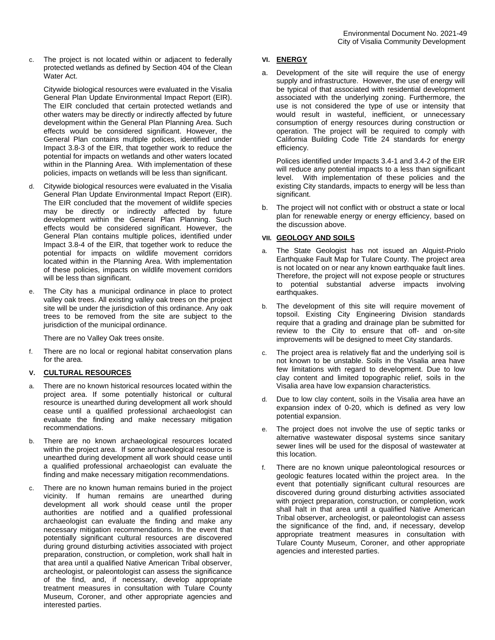c. The project is not located within or adjacent to federally protected wetlands as defined by Section 404 of the Clean Water Act.

Citywide biological resources were evaluated in the Visalia General Plan Update Environmental Impact Report (EIR). The EIR concluded that certain protected wetlands and other waters may be directly or indirectly affected by future development within the General Plan Planning Area. Such effects would be considered significant. However, the General Plan contains multiple polices, identified under Impact 3.8-3 of the EIR, that together work to reduce the potential for impacts on wetlands and other waters located within in the Planning Area. With implementation of these policies, impacts on wetlands will be less than significant.

- d. Citywide biological resources were evaluated in the Visalia General Plan Update Environmental Impact Report (EIR). The EIR concluded that the movement of wildlife species may be directly or indirectly affected by future development within the General Plan Planning. Such effects would be considered significant. However, the General Plan contains multiple polices, identified under Impact 3.8-4 of the EIR, that together work to reduce the potential for impacts on wildlife movement corridors located within in the Planning Area. With implementation of these policies, impacts on wildlife movement corridors will be less than significant.
- e. The City has a municipal ordinance in place to protect valley oak trees. All existing valley oak trees on the project site will be under the jurisdiction of this ordinance. Any oak trees to be removed from the site are subject to the jurisdiction of the municipal ordinance.

There are no Valley Oak trees onsite.

f. There are no local or regional habitat conservation plans for the area.

## **V. CULTURAL RESOURCES**

- a. There are no known historical resources located within the project area. If some potentially historical or cultural resource is unearthed during development all work should cease until a qualified professional archaeologist can evaluate the finding and make necessary mitigation recommendations.
- b. There are no known archaeological resources located within the project area. If some archaeological resource is unearthed during development all work should cease until a qualified professional archaeologist can evaluate the finding and make necessary mitigation recommendations.
- c. There are no known human remains buried in the project vicinity. If human remains are unearthed during development all work should cease until the proper authorities are notified and a qualified professional archaeologist can evaluate the finding and make any necessary mitigation recommendations. In the event that potentially significant cultural resources are discovered during ground disturbing activities associated with project preparation, construction, or completion, work shall halt in that area until a qualified Native American Tribal observer, archeologist, or paleontologist can assess the significance of the find, and, if necessary, develop appropriate treatment measures in consultation with Tulare County Museum, Coroner, and other appropriate agencies and interested parties.

## **VI. ENERGY**

a. Development of the site will require the use of energy supply and infrastructure. However, the use of energy will be typical of that associated with residential development associated with the underlying zoning. Furthermore, the use is not considered the type of use or intensity that would result in wasteful, inefficient, or unnecessary consumption of energy resources during construction or operation. The project will be required to comply with California Building Code Title 24 standards for energy efficiency.

Polices identified under Impacts 3.4-1 and 3.4-2 of the EIR will reduce any potential impacts to a less than significant level. With implementation of these policies and the existing City standards, impacts to energy will be less than significant.

b. The project will not conflict with or obstruct a state or local plan for renewable energy or energy efficiency, based on the discussion above.

## **VII. GEOLOGY AND SOILS**

- a. The State Geologist has not issued an Alquist-Priolo Earthquake Fault Map for Tulare County. The project area is not located on or near any known earthquake fault lines. Therefore, the project will not expose people or structures to potential substantial adverse impacts involving earthquakes.
- b. The development of this site will require movement of topsoil. Existing City Engineering Division standards require that a grading and drainage plan be submitted for review to the City to ensure that off- and on-site improvements will be designed to meet City standards.
- c. The project area is relatively flat and the underlying soil is not known to be unstable. Soils in the Visalia area have few limitations with regard to development. Due to low clay content and limited topographic relief, soils in the Visalia area have low expansion characteristics.
- d. Due to low clay content, soils in the Visalia area have an expansion index of 0-20, which is defined as very low potential expansion.
- e. The project does not involve the use of septic tanks or alternative wastewater disposal systems since sanitary sewer lines will be used for the disposal of wastewater at this location.
- f. There are no known unique paleontological resources or geologic features located within the project area. In the event that potentially significant cultural resources are discovered during ground disturbing activities associated with project preparation, construction, or completion, work shall halt in that area until a qualified Native American Tribal observer, archeologist, or paleontologist can assess the significance of the find, and, if necessary, develop appropriate treatment measures in consultation with Tulare County Museum, Coroner, and other appropriate agencies and interested parties.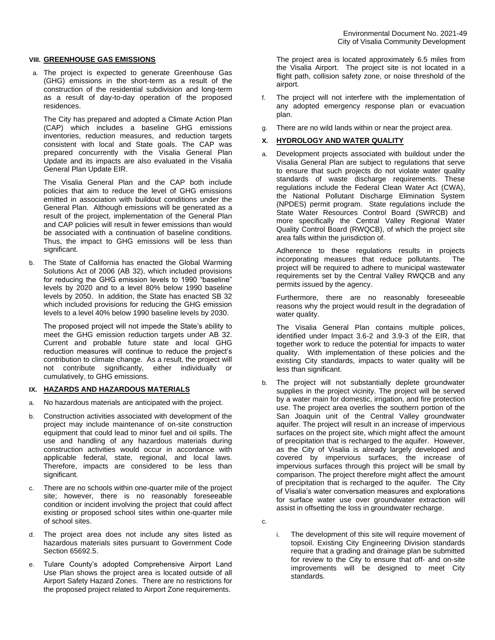### **VIII. GREENHOUSE GAS EMISSIONS**

a. The project is expected to generate Greenhouse Gas (GHG) emissions in the short-term as a result of the construction of the residential subdivision and long-term as a result of day-to-day operation of the proposed residences.

The City has prepared and adopted a Climate Action Plan (CAP) which includes a baseline GHG emissions inventories, reduction measures, and reduction targets consistent with local and State goals. The CAP was prepared concurrently with the Visalia General Plan Update and its impacts are also evaluated in the Visalia General Plan Update EIR.

The Visalia General Plan and the CAP both include policies that aim to reduce the level of GHG emissions emitted in association with buildout conditions under the General Plan. Although emissions will be generated as a result of the project, implementation of the General Plan and CAP policies will result in fewer emissions than would be associated with a continuation of baseline conditions. Thus, the impact to GHG emissions will be less than significant.

b. The State of California has enacted the Global Warming Solutions Act of 2006 (AB 32), which included provisions for reducing the GHG emission levels to 1990 "baseline" levels by 2020 and to a level 80% below 1990 baseline levels by 2050. In addition, the State has enacted SB 32 which included provisions for reducing the GHG emission levels to a level 40% below 1990 baseline levels by 2030.

The proposed project will not impede the State's ability to meet the GHG emission reduction targets under AB 32. Current and probable future state and local GHG reduction measures will continue to reduce the project's contribution to climate change. As a result, the project will not contribute significantly, either individually or cumulatively, to GHG emissions.

# **IX. HAZARDS AND HAZARDOUS MATERIALS**

- a. No hazardous materials are anticipated with the project.
- b. Construction activities associated with development of the project may include maintenance of on-site construction equipment that could lead to minor fuel and oil spills. The use and handling of any hazardous materials during construction activities would occur in accordance with applicable federal, state, regional, and local laws. Therefore, impacts are considered to be less than significant.
- c. There are no schools within one-quarter mile of the project site; however, there is no reasonably foreseeable condition or incident involving the project that could affect existing or proposed school sites within one-quarter mile of school sites.
- d. The project area does not include any sites listed as hazardous materials sites pursuant to Government Code Section 65692.5.
- e. Tulare County's adopted Comprehensive Airport Land Use Plan shows the project area is located outside of all Airport Safety Hazard Zones. There are no restrictions for the proposed project related to Airport Zone requirements.

The project area is located approximately 6.5 miles from the Visalia Airport. The project site is not located in a flight path, collision safety zone, or noise threshold of the airport.

- f. The project will not interfere with the implementation of any adopted emergency response plan or evacuation plan.
- g. There are no wild lands within or near the project area.

## **X. HYDROLOGY AND WATER QUALITY**

a. Development projects associated with buildout under the Visalia General Plan are subject to regulations that serve to ensure that such projects do not violate water quality standards of waste discharge requirements. These regulations include the Federal Clean Water Act (CWA), the National Pollutant Discharge Elimination System (NPDES) permit program. State regulations include the State Water Resources Control Board (SWRCB) and more specifically the Central Valley Regional Water Quality Control Board (RWQCB), of which the project site area falls within the jurisdiction of.

Adherence to these regulations results in projects incorporating measures that reduce pollutants. The project will be required to adhere to municipal wastewater requirements set by the Central Valley RWQCB and any permits issued by the agency.

Furthermore, there are no reasonably foreseeable reasons why the project would result in the degradation of water quality.

The Visalia General Plan contains multiple polices, identified under Impact 3.6-2 and 3.9-3 of the EIR, that together work to reduce the potential for impacts to water quality. With implementation of these policies and the existing City standards, impacts to water quality will be less than significant.

b. The project will not substantially deplete groundwater supplies in the project vicinity. The project will be served by a water main for domestic, irrigation, and fire protection use. The project area overlies the southern portion of the San Joaquin unit of the Central Valley groundwater aquifer. The project will result in an increase of impervious surfaces on the project site, which might affect the amount of precipitation that is recharged to the aquifer. However, as the City of Visalia is already largely developed and covered by impervious surfaces, the increase of impervious surfaces through this project will be small by comparison. The project therefore might affect the amount of precipitation that is recharged to the aquifer. The City of Visalia's water conversation measures and explorations for surface water use over groundwater extraction will assist in offsetting the loss in groundwater recharge.

c.

i. The development of this site will require movement of topsoil. Existing City Engineering Division standards require that a grading and drainage plan be submitted for review to the City to ensure that off- and on-site improvements will be designed to meet City standards.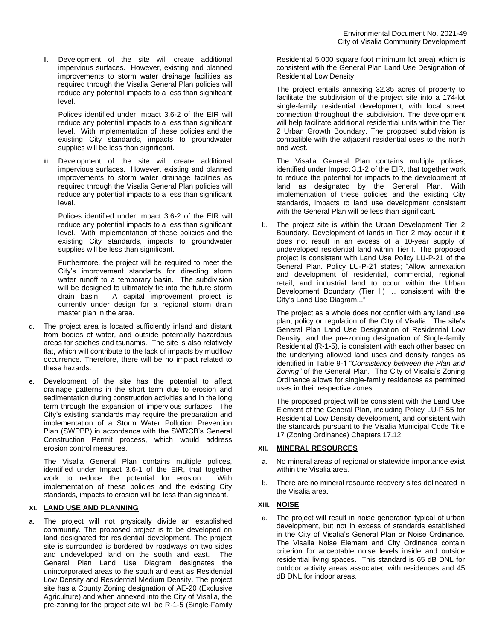ii. Development of the site will create additional impervious surfaces. However, existing and planned improvements to storm water drainage facilities as required through the Visalia General Plan policies will reduce any potential impacts to a less than significant level.

Polices identified under Impact 3.6-2 of the EIR will reduce any potential impacts to a less than significant level. With implementation of these policies and the existing City standards, impacts to groundwater supplies will be less than significant.

iii. Development of the site will create additional impervious surfaces. However, existing and planned improvements to storm water drainage facilities as required through the Visalia General Plan policies will reduce any potential impacts to a less than significant level.

Polices identified under Impact 3.6-2 of the EIR will reduce any potential impacts to a less than significant level. With implementation of these policies and the existing City standards, impacts to groundwater supplies will be less than significant.

Furthermore, the project will be required to meet the City's improvement standards for directing storm water runoff to a temporary basin. The subdivision will be designed to ultimately tie into the future storm drain basin. A capital improvement project is currently under design for a regional storm drain master plan in the area.

- d. The project area is located sufficiently inland and distant from bodies of water, and outside potentially hazardous areas for seiches and tsunamis. The site is also relatively flat, which will contribute to the lack of impacts by mudflow occurrence. Therefore, there will be no impact related to these hazards.
- Development of the site has the potential to affect drainage patterns in the short term due to erosion and sedimentation during construction activities and in the long term through the expansion of impervious surfaces. The City's existing standards may require the preparation and implementation of a Storm Water Pollution Prevention Plan (SWPPP) in accordance with the SWRCB's General Construction Permit process, which would address erosion control measures.

The Visalia General Plan contains multiple polices, identified under Impact 3.6-1 of the EIR, that together work to reduce the potential for erosion. With implementation of these policies and the existing City standards, impacts to erosion will be less than significant.

## **XI. LAND USE AND PLANNING**

a. The project will not physically divide an established community. The proposed project is to be developed on land designated for residential development. The project site is surrounded is bordered by roadways on two sides and undeveloped land on the south and east. The General Plan Land Use Diagram designates the unincorporated areas to the south and east as Residential Low Density and Residential Medium Density. The project site has a County Zoning designation of AE-20 (Exclusive Agriculture) and when annexed into the City of Visalia, the pre-zoning for the project site will be R-1-5 (Single-Family

Residential 5,000 square foot minimum lot area) which is consistent with the General Plan Land Use Designation of Residential Low Density.

The project entails annexing 32.35 acres of property to facilitate the subdivision of the project site into a 174-lot single-family residential development, with local street connection throughout the subdivision. The development will help facilitate additional residential units within the Tier 2 Urban Growth Boundary. The proposed subdivision is compatible with the adjacent residential uses to the north and west.

The Visalia General Plan contains multiple polices, identified under Impact 3.1-2 of the EIR, that together work to reduce the potential for impacts to the development of land as designated by the General Plan. With implementation of these policies and the existing City standards, impacts to land use development consistent with the General Plan will be less than significant.

b. The project site is within the Urban Development Tier 2 Boundary. Development of lands in Tier 2 may occur if it does not result in an excess of a 10-year supply of undeveloped residential land within Tier I. The proposed project is consistent with Land Use Policy LU-P-21 of the General Plan. Policy LU-P-21 states; "Allow annexation and development of residential, commercial, regional retail, and industrial land to occur within the Urban Development Boundary (Tier II) … consistent with the City's Land Use Diagram..."

The project as a whole does not conflict with any land use plan, policy or regulation of the City of Visalia. The site's General Plan Land Use Designation of Residential Low Density, and the pre-zoning designation of Single-family Residential (R-1-5), is consistent with each other based on the underlying allowed land uses and density ranges as identified in Table 9-1 "*Consistency between the Plan and Zoning"* of the General Plan. The City of Visalia's Zoning Ordinance allows for single-family residences as permitted uses in their respective zones.

The proposed project will be consistent with the Land Use Element of the General Plan, including Policy LU-P-55 for Residential Low Density development, and consistent with the standards pursuant to the Visalia Municipal Code Title 17 (Zoning Ordinance) Chapters 17.12.

### **XII. MINERAL RESOURCES**

- a. No mineral areas of regional or statewide importance exist within the Visalia area.
- b. There are no mineral resource recovery sites delineated in the Visalia area.

# **XIII. NOISE**

a. The project will result in noise generation typical of urban development, but not in excess of standards established in the City of Visalia's General Plan or Noise Ordinance. The Visalia Noise Element and City Ordinance contain criterion for acceptable noise levels inside and outside residential living spaces. This standard is 65 dB DNL for outdoor activity areas associated with residences and 45 dB DNL for indoor areas.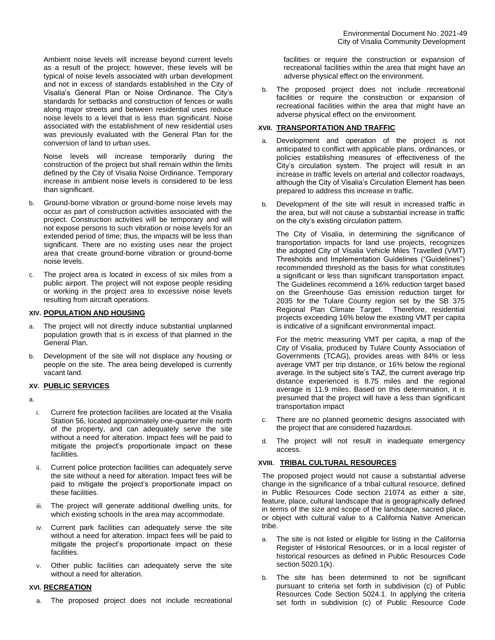associated with the establishment of new residential uses was previously evaluated with the General Plan for the conversion of land to urban uses. Noise levels will increase temporarily during the

construction of the project but shall remain within the limits defined by the City of Visalia Noise Ordinance. Temporary increase in ambient noise levels is considered to be less than significant.

- b. Ground-borne vibration or ground-borne noise levels may occur as part of construction activities associated with the project. Construction activities will be temporary and will not expose persons to such vibration or noise levels for an extended period of time; thus, the impacts will be less than significant. There are no existing uses near the project area that create ground-borne vibration or ground-borne noise levels.
- c. The project area is located in excess of six miles from a public airport. The project will not expose people residing or working in the project area to excessive noise levels resulting from aircraft operations.

## **XIV. POPULATION AND HOUSING**

- The project will not directly induce substantial unplanned population growth that is in excess of that planned in the General Plan.
- b. Development of the site will not displace any housing or people on the site. The area being developed is currently vacant land.

## **XV. PUBLIC SERVICES**

a.

- i. Current fire protection facilities are located at the Visalia Station 56, located approximately one-quarter mile north of the property, and can adequately serve the site without a need for alteration. Impact fees will be paid to mitigate the project's proportionate impact on these facilities.
- ii. Current police protection facilities can adequately serve the site without a need for alteration. Impact fees will be paid to mitigate the project's proportionate impact on these facilities.
- iii. The project will generate additional dwelling units, for which existing schools in the area may accommodate.
- iv. Current park facilities can adequately serve the site without a need for alteration. Impact fees will be paid to mitigate the project's proportionate impact on these facilities.
- v. Other public facilities can adequately serve the site without a need for alteration.

# **XVI. RECREATION**

a. The proposed project does not include recreational

facilities or require the construction or expansion of recreational facilities within the area that might have an adverse physical effect on the environment.

b. The proposed project does not include recreational facilities or require the construction or expansion of recreational facilities within the area that might have an adverse physical effect on the environment.

## **XVII. TRANSPORTATION AND TRAFFIC**

- a. Development and operation of the project is not anticipated to conflict with applicable plans, ordinances, or policies establishing measures of effectiveness of the City's circulation system. The project will result in an increase in traffic levels on arterial and collector roadways, although the City of Visalia's Circulation Element has been prepared to address this increase in traffic.
- b. Development of the site will result in increased traffic in the area, but will not cause a substantial increase in traffic on the city's existing circulation pattern.

The City of Visalia, in determining the significance of transportation impacts for land use projects, recognizes the adopted City of Visalia Vehicle Miles Travelled (VMT) Thresholds and Implementation Guidelines ("Guidelines") recommended threshold as the basis for what constitutes a significant or less than significant transportation impact. The Guidelines recommend a 16% reduction target based on the Greenhouse Gas emission reduction target for 2035 for the Tulare County region set by the SB 375 Regional Plan Climate Target. Therefore, residential projects exceeding 16% below the existing VMT per capita is indicative of a significant environmental impact.

For the metric measuring VMT per capita, a map of the City of Visalia, produced by Tulare County Association of Governments (TCAG), provides areas with 84% or less average VMT per trip distance, or 16% below the regional average. In the subject site's TAZ, the current average trip distance experienced is 8.75 miles and the regional average is 11.9 miles. Based on this determination, it is presumed that the project will have a less than significant transportation impact

- c. There are no planned geometric designs associated with the project that are considered hazardous.
- d. The project will not result in inadequate emergency access.

## **XVIII. TRIBAL CULTURAL RESOURCES**

The proposed project would not cause a substantial adverse change in the significance of a tribal cultural resource, defined in Public Resources Code section 21074 as either a site, feature, place, cultural landscape that is geographically defined in terms of the size and scope of the landscape, sacred place, or object with cultural value to a California Native American tribe.

- a. The site is not listed or eligible for listing in the California Register of Historical Resources, or in a local register of historical resources as defined in Public Resources Code section 5020.1(k).
- b. The site has been determined to not be significant pursuant to criteria set forth in subdivision (c) of Public Resources Code Section 5024.1. In applying the criteria set forth in subdivision (c) of Public Resource Code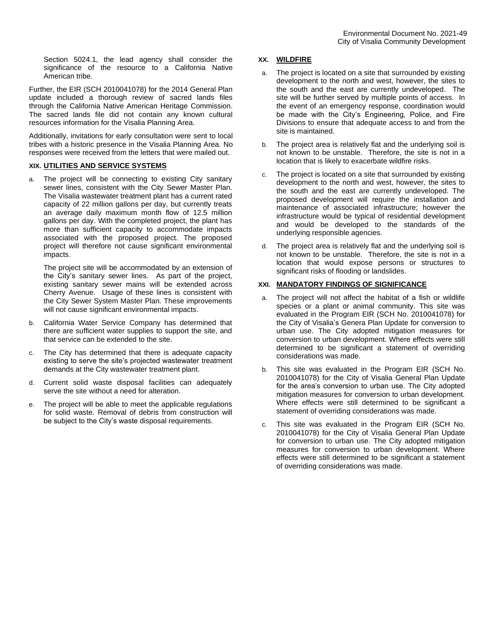Section 5024.1, the lead agency shall consider the significance of the resource to a California Native American tribe.

Further, the EIR (SCH 2010041078) for the 2014 General Plan update included a thorough review of sacred lands files through the California Native American Heritage Commission. The sacred lands file did not contain any known cultural resources information for the Visalia Planning Area.

Additionally, invitations for early consultation were sent to local tribes with a historic presence in the Visalia Planning Area. No responses were received from the letters that were mailed out.

## **XIX. UTILITIES AND SERVICE SYSTEMS**

a. The project will be connecting to existing City sanitary sewer lines, consistent with the City Sewer Master Plan. The Visalia wastewater treatment plant has a current rated capacity of 22 million gallons per day, but currently treats an average daily maximum month flow of 12.5 million gallons per day. With the completed project, the plant has more than sufficient capacity to accommodate impacts associated with the proposed project. The proposed project will therefore not cause significant environmental impacts.

The project site will be accommodated by an extension of the City's sanitary sewer lines. As part of the project, existing sanitary sewer mains will be extended across Cherry Avenue. Usage of these lines is consistent with the City Sewer System Master Plan. These improvements will not cause significant environmental impacts.

- b. California Water Service Company has determined that there are sufficient water supplies to support the site, and that service can be extended to the site.
- c. The City has determined that there is adequate capacity existing to serve the site's projected wastewater treatment demands at the City wastewater treatment plant.
- d. Current solid waste disposal facilities can adequately serve the site without a need for alteration.
- e. The project will be able to meet the applicable regulations for solid waste. Removal of debris from construction will be subject to the City's waste disposal requirements.

## **XX. WILDFIRE**

- a. The project is located on a site that surrounded by existing development to the north and west, however, the sites to the south and the east are currently undeveloped. The site will be further served by multiple points of access. In the event of an emergency response, coordination would be made with the City's Engineering, Police, and Fire Divisions to ensure that adequate access to and from the site is maintained.
- b. The project area is relatively flat and the underlying soil is not known to be unstable. Therefore, the site is not in a location that is likely to exacerbate wildfire risks.
- c. The project is located on a site that surrounded by existing development to the north and west, however, the sites to the south and the east are currently undeveloped. The proposed development will require the installation and maintenance of associated infrastructure; however the infrastructure would be typical of residential development and would be developed to the standards of the underlying responsible agencies.
- d. The project area is relatively flat and the underlying soil is not known to be unstable. Therefore, the site is not in a location that would expose persons or structures to significant risks of flooding or landslides.

## **XXI. MANDATORY FINDINGS OF SIGNIFICANCE**

- a. The project will not affect the habitat of a fish or wildlife species or a plant or animal community. This site was evaluated in the Program EIR (SCH No. 2010041078) for the City of Visalia's Genera Plan Update for conversion to urban use. The City adopted mitigation measures for conversion to urban development. Where effects were still determined to be significant a statement of overriding considerations was made.
- b. This site was evaluated in the Program EIR (SCH No. 2010041078) for the City of Visalia General Plan Update for the area's conversion to urban use. The City adopted mitigation measures for conversion to urban development. Where effects were still determined to be significant a statement of overriding considerations was made.
- c. This site was evaluated in the Program EIR (SCH No. 2010041078) for the City of Visalia General Plan Update for conversion to urban use. The City adopted mitigation measures for conversion to urban development. Where effects were still determined to be significant a statement of overriding considerations was made.